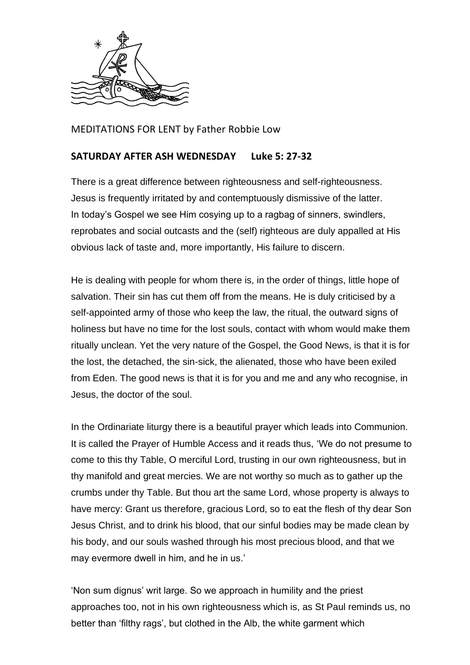

MEDITATIONS FOR LENT by Father Robbie Low

## **SATURDAY AFTER ASH WEDNESDAY Luke 5: 27-32**

There is a great difference between righteousness and self-righteousness. Jesus is frequently irritated by and contemptuously dismissive of the latter. In today's Gospel we see Him cosying up to a ragbag of sinners, swindlers, reprobates and social outcasts and the (self) righteous are duly appalled at His obvious lack of taste and, more importantly, His failure to discern.

He is dealing with people for whom there is, in the order of things, little hope of salvation. Their sin has cut them off from the means. He is duly criticised by a self-appointed army of those who keep the law, the ritual, the outward signs of holiness but have no time for the lost souls, contact with whom would make them ritually unclean. Yet the very nature of the Gospel, the Good News, is that it is for the lost, the detached, the sin-sick, the alienated, those who have been exiled from Eden. The good news is that it is for you and me and any who recognise, in Jesus, the doctor of the soul.

In the Ordinariate liturgy there is a beautiful prayer which leads into Communion. It is called the Prayer of Humble Access and it reads thus, 'We do not presume to come to this thy Table, O merciful Lord, trusting in our own righteousness, but in thy manifold and great mercies. We are not worthy so much as to gather up the crumbs under thy Table. But thou art the same Lord, whose property is always to have mercy: Grant us therefore, gracious Lord, so to eat the flesh of thy dear Son Jesus Christ, and to drink his blood, that our sinful bodies may be made clean by his body, and our souls washed through his most precious blood, and that we may evermore dwell in him, and he in us.'

'Non sum dignus' writ large. So we approach in humility and the priest approaches too, not in his own righteousness which is, as St Paul reminds us, no better than 'filthy rags', but clothed in the Alb, the white garment which